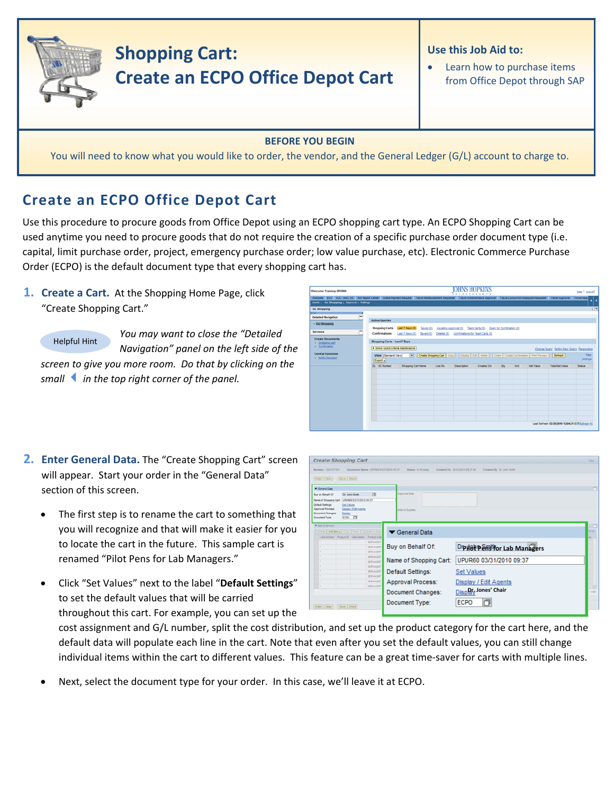

## **BEFORE YOU BEGIN**

You will need to know what you would like to order, the vendor, and the General Ledger (G/L) account to charge to.

## **Create an ECPO Office Depot Cart**

Use this procedure to procure goods from Office Depot using an ECPO shopping cart type. An ECPO Shopping Cart can be used anytime you need to procure goods that do not require the creation of a specific purchase order document type (i.e. capital, limit purchase order, project, emergency purchase order; low value purchase, etc). Electronic Commerce Purchase Order (ECPO) is the default document type that every shopping cart has.

**1. Create a Cart.** At the Shopping Home Page, click "Create Shopping Cart."

*You may want to close the "Detailed Navigation" panel on the left side of the screen to give you more room. Do that by clicking on the smallin the top right corner of the panel.* Helpful Hint

| Welcome Training UPUR60                                                                                                                                                                                                                       |                                                                                                                              |                                               |          | IOHNS HOPKINS                                | <b>xxxxxxxxxxx</b>                                                                                        |                           |             |           |                                                      | Help   Log.off    |
|-----------------------------------------------------------------------------------------------------------------------------------------------------------------------------------------------------------------------------------------------|------------------------------------------------------------------------------------------------------------------------------|-----------------------------------------------|----------|----------------------------------------------|-----------------------------------------------------------------------------------------------------------|---------------------------|-------------|-----------|------------------------------------------------------|-------------------|
| Welcome ECC ECC - MAC OS BW Report Center Online Payment Request Travel Reimbursement Requester Travel Administrative Approver Travel Concurrent Employed Requester Travel Approver Travel Requ<br>Alerts   Go Shopping   Approval   Settings |                                                                                                                              |                                               |          |                                              |                                                                                                           |                           |             |           |                                                      |                   |
| <b>Go Shopping</b><br><b>STAT</b><br>$\equiv$<br><b>Detailed Navigation</b><br>- Go Shopping                                                                                                                                                  | <b>Active Queries</b><br><b>Shopping Carts</b>                                                                               | Last 7 Days (0)<br>Saved (0)                  |          | Awalting Approval (0)                        | Team Carts (0)                                                                                            | Open for Confirmation (0) |             |           |                                                      | 门弓                |
| <b>Services</b><br><b>Create Documents</b><br>· Shopping Cart<br>· Confirmation<br><b>Central Functions</b><br><b>Notify Recipient</b>                                                                                                        | Confirmations<br>Shopping Carts - Last 7 Days<br>> Show Quick Criteria Maintenance<br><b>View Standard View!</b><br>Export a | Last 7 Days (0)<br>Saxed(0)<br>$\blacksquare$ |          | Deleted (0) Confirmations for Team Carts (0) | Create Shopping Cart   Copy       Display   Edit   Delete     Order   Create Confirmation   Print Preview |                           |             |           | Change Query Define New Query Personalize<br>Refresh | Fiter<br>Settings |
|                                                                                                                                                                                                                                               | ER SC Number                                                                                                                 | <b>Shopping Cart Name</b>                     | Line No. | <b>Description</b>                           | Created On                                                                                                | Oty                       | <b>Unit</b> | Net Value | <b>Total Net Value</b>                               | Status            |
|                                                                                                                                                                                                                                               |                                                                                                                              |                                               |          |                                              |                                                                                                           |                           |             |           |                                                      |                   |
|                                                                                                                                                                                                                                               |                                                                                                                              |                                               |          |                                              |                                                                                                           |                           |             |           | Last Refresh 03/30/2010 12:04:31 ESTRefresh (0)      |                   |

| 2. Enter General Data. The "Create Shopping Cart" screen |
|----------------------------------------------------------|
| will appear. Start your order in the "General Data"      |
| section of this screen.                                  |

- The first step is to rename the cart to something that you will recognize and that will make it easier for you to locate the cart in the future. This sample cart is renamed "Pilot Pens for Lab Managers."
- Click "Set Values" next to the label "**Default Settings**" to set the default values that will be carried throughout this cart. For example, you can set up the

cost assignment and G/L number, split the cost distribution, and set up the product category for the cart here, and the default data will populate each line in the cart. Note that even after you set the default values, you can still change individual items within the cart to different values. This feature can be a great time-saver for carts with multiple lines.

Next, select the document type for your order. In this case, we'll leave it at ECPO.

| Create Shopping Cart                                |                               |                              |                                     |                             |                                                               | <b>DG</b>  |
|-----------------------------------------------------|-------------------------------|------------------------------|-------------------------------------|-----------------------------|---------------------------------------------------------------|------------|
| Burnber 1001077331                                  |                               |                              | Document Name 191802 ESQ10010 05 ST | <b>Status</b> , in Process. | Createst By Dr. John Smith<br>Created Oil 53/11/2010 19:37 58 |            |
| [Order] Close   Dave   Check                        |                               |                              |                                     |                             |                                                               |            |
| <b>W</b> General Data                               |                               |                              |                                     |                             |                                                               | n          |
| Buy on Behalf Of                                    | Dr. John Smith                |                              | $\overline{1}$                      | Auspraceal links            |                                                               |            |
| liane of Shopping Cart                              |                               | UPURED 03/31/2010 09:37      |                                     |                             |                                                               |            |
| <b>Default Settings:</b><br>Approval Process        | <b>Set Values</b>             | <b>Display / Edit Assets</b> |                                     | Arms to Tuezday             |                                                               |            |
| <b>Document Changes</b><br><b>Document Type:</b>    | Depley<br>fcro in             |                              |                                     |                             |                                                               |            |
| W Sara Diversion                                    |                               |                              |                                     |                             |                                                               |            |
| Drivin   AM her all Corp   Fears   Duston's   Drive |                               |                              |                                     | ▼ General Data              |                                                               | mid        |
| Leatheast Policit Cescome Policities                |                               |                              |                                     |                             |                                                               | be.        |
| $\sim$                                              |                               |                              | SERVADAT<br><b>SERVADIT</b>         | Buy on Behalf Of:           | Drp i 8t Penst for Lab Managers                               |            |
|                                                     |                               |                              | SERUADIE                            |                             |                                                               |            |
|                                                     |                               |                              | SERVADET<br>SERVADIT                | Name of Shopping Cart:      | UPUR60 03/31/2010 09:37                                       |            |
| $\sim$                                              |                               |                              | SERVADED                            |                             |                                                               |            |
|                                                     |                               |                              | SERVADAT<br><b>SERVADAT</b>         | Default Settings:           | <b>Set Values</b>                                             |            |
|                                                     |                               |                              | SERVADIT                            | <b>Approval Process:</b>    | Display / Edit Agents                                         |            |
|                                                     |                               |                              | SERVAGNT                            |                             | Disport Jones' Chair                                          | <b>USE</b> |
|                                                     |                               |                              |                                     | Document Changes:           |                                                               |            |
|                                                     | Order   Cose     Save   Check |                              |                                     | Document Type:              | 巾<br><b>ECPO</b>                                              |            |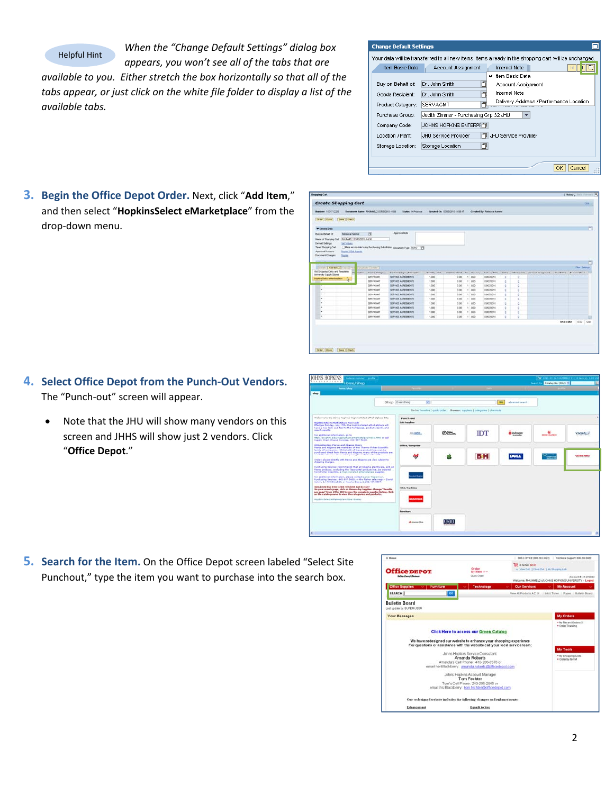Helpful Hint

*When the "Change Default Settings" dialog box*

*appears, you won't see all of the tabs that are available to you. Either stretch the box horizontally so that all of the tabs appear, or just click on the white file folder to display a list of the available tabs.*

| <b>Change Default Settings</b>                             |                                                                                                                                                                             |
|------------------------------------------------------------|-----------------------------------------------------------------------------------------------------------------------------------------------------------------------------|
| Item Basic Data                                            | Your data will be transferred to all new items, items already in the shopping cart will be unchanged.<br><b>Internal Note</b><br>Account Assignment<br>Item Basic Data<br>v |
| Buy on Behalf of:<br>Goods Recipient:<br>Product Category: | Dr. John Smith<br>Account Assignment<br>Internal Note<br>Dr. John Smith<br>Delivery Address / Performance Location<br><b>SERVAGMT</b>                                       |
| Purchase Group:<br>Company Code:<br>Location / Plant:      | Judith Zimmer - Purchasing Grp 32 JHU<br>JOHNS HOPKINS ENTERPHT<br>JHU Service Provider<br><b>JHLI Service Provider</b>                                                     |
| Storage Location:                                          | 门<br>Storage Location<br>Cancel<br>ОК                                                                                                                                       |

**3. Begin the Office Depot Order.** Next, click "**Add Item**," and then select "**HopkinsSelect eMarketplace**" from the drop‐down menu.

| <b>V</b> Central Data                                       |                                                   |                         |                                                                        |                  |                       |             |               |              |                 |                          |                                |
|-------------------------------------------------------------|---------------------------------------------------|-------------------------|------------------------------------------------------------------------|------------------|-----------------------|-------------|---------------|--------------|-----------------|--------------------------|--------------------------------|
| <b>But on Behalf Of</b>                                     | <b>Rebecca Hummel</b>                             | $\alpha$                | Approval Hotel                                                         |                  |                       |             |               |              |                 |                          |                                |
|                                                             | News of Shopping Carl: 704, MMEL2-038322010 14:58 |                         |                                                                        |                  |                       |             |               |              |                 |                          |                                |
| Default Settings<br>Team Shopping Cart                      | Set Voluna                                        |                         | Make accessible to my Purchasing Substitutes: populant Type: (CPO 179) |                  |                       |             |               |              |                 |                          |                                |
| <b>Marine of</b>                                            | <b>Clinton CAMBINA COIN 2 For EDIANAM CHOIN</b>   |                         |                                                                        |                  |                       |             |               |              |                 |                          | <b>Flor Sebrus</b>             |
| Old Shopping Carts and Templates<br>Unversity Supply Stores | De uration                                        | <b>Rigitad Calagory</b> | <b>Product Category Description</b>                                    | <b>Questy</b> UH | <b>NUCPICO / Link</b> | Fer Curency | Delivery Date | <b>Hotes</b> | <b>ABADWARE</b> | <b>Account Applyment</b> | <b>Ren Dietus DocumentType</b> |
| <b>Washing Calent attituded producer</b>                    | D.                                                | SERVAGNE                | SERVICE AGREEMENTS                                                     | 1.000            | 0.00                  | 11.050      | EDEDGOVE      | ×            |                 |                          |                                |
|                                                             |                                                   | <b>SERVAGNE</b>         | SERVICE AGREEMENTS                                                     | 1,000            | 0.00                  | $+1.050$    | 03030019      | ÷            | ū               |                          |                                |
|                                                             |                                                   | <b>SERVAGNE</b>         | DERVICE AOREEMENTS                                                     | 1,000            | 0.00                  | 1.155       | 03030010      | ۰            | a               |                          |                                |
| ٠                                                           |                                                   | SERVAGNE                | SERVICE ADRESSENTS                                                     | 1,000            | 8.86                  | $1$ Litib   | 03/03/2010    | ٠            |                 |                          |                                |
| ٠                                                           |                                                   | <b>SERVAGAS</b>         | SERVICE AGREEMENTS                                                     | 1,000            | 0.00                  | 1.1050      | 03/03/2010    | ٠            | ö.              |                          |                                |
| ٠                                                           |                                                   | SERVAGNE                | SERVICE ADRESSENTS                                                     | 1,000            | 0.00                  | $1$ USD     | 03/03/2010    | ٠            | $\sigma$        |                          |                                |
|                                                             |                                                   | SERVADNE                | <b>SERVICE ADRESSENTS</b>                                              | 1,000            | 0.00                  | 1.150       | 03/03/2019    | ×            | $\alpha$        |                          |                                |
| ٠                                                           |                                                   | SERVAGNE                | SERVICE ADRESSENTS                                                     | 1,800            | 8.86                  | 1.150       | ES630010      | ٠            |                 |                          |                                |
| ٠                                                           |                                                   |                         |                                                                        |                  | 0.00                  | $+100$      | 03030010      | ٠            | ٠               |                          |                                |
| ٠<br>٠                                                      |                                                   | SERVAGNE<br>SERVADAR    | SERVICE ADRESSENTS<br>SERVICE AGREEMENTS                               | 1,000<br>1,000   | 0.00                  | 11,000      | 0363/2019     | ٠            | ö               |                          |                                |

- **4. Select Office Depot from the Punch‐Out Vendors.** The "Punch‐out" screen will appear.
	- Note that the JHU will show many vendors on this screen and JHHS will show just 2 vendors. Click "**Office Depot**."
- **IOHNS HOPKINS** Shop Eventhing  $\frac{1}{2}$ Go ... the entities and to **IDT**  $rac{1}{2}$ **O** Indogen **BH** M á  $\frac{1}{5}$  $\frac{1}{2}$
- **5. Search for the Item.** On the Office Depot screen labeled "Select Site Punchout," type the item you want to purchase into the search box.

| Q Motor                                              |                                                                                                                                                    |                                                                  |                                                                              |
|------------------------------------------------------|----------------------------------------------------------------------------------------------------------------------------------------------------|------------------------------------------------------------------|------------------------------------------------------------------------------|
| <b>Office DEPOT</b>                                  | Order<br>by item # w                                                                                                                               | E il hamoo \$0.00<br>a View Carl 1 Chain Out. 1 My Shapping Life |                                                                              |
| <b>Integ Core of Benivers</b>                        | Quick Crities                                                                                                                                      |                                                                  | Account # 41205063<br>Welcome, RHLNNEL2 of JOHNS HOPKINS UNIVERSITY - Leaset |
| <b>Lemen Supplies</b><br>Furniture                   | Technology                                                                                                                                         | <b>Our Services</b>                                              | <b>My Account</b><br>$\sim$<br>$\sim$                                        |
| <b>SEARCH</b>                                        | GO                                                                                                                                                 |                                                                  | View All Products A.Z. (E., ) Ink & Toner   Paper   Bulletin Board           |
| <b>Bulletin Board</b><br>Last up hale by: SUPER USER |                                                                                                                                                    |                                                                  |                                                                              |
| Your Messages                                        |                                                                                                                                                    |                                                                  | <b>My Orders</b>                                                             |
|                                                      |                                                                                                                                                    |                                                                  | . My Recent Orders H<br>· Order Tracking                                     |
|                                                      | <b>Click Here to access our Green Catalog</b>                                                                                                      |                                                                  |                                                                              |
|                                                      | We have redesigned our website to enhance your shopping experience                                                                                 |                                                                  |                                                                              |
|                                                      | For questions or assistance with the website call your local service team:                                                                         |                                                                  | <b>My Tools</b>                                                              |
|                                                      | Johns Hopkins Service Consultant<br>Amanda Roberts<br>Amanda's Cell Phone: 410-206-8578 or<br>email her Blackberry arnanda roberts@officedepot.com |                                                                  | . My Shopping Lists<br>· Order by items!                                     |
|                                                      | Johns Hopkins Account Manager<br>Tom Fechter<br>Tom's Cell Phone: 240-205-2845 or                                                                  |                                                                  |                                                                              |
|                                                      |                                                                                                                                                    |                                                                  |                                                                              |
|                                                      | email his Blackberry: tom fechter@officedepot.com                                                                                                  |                                                                  |                                                                              |
|                                                      | Our redesigned website includes the following changes and enhancements:                                                                            |                                                                  |                                                                              |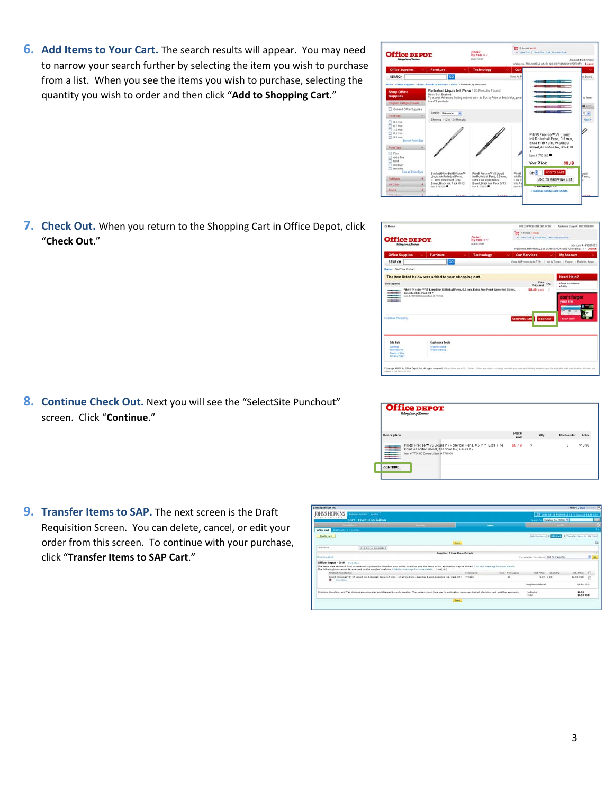**6. Add Items to Your Cart.** The search results will appear. You may need to narrow your search further by selecting the item you wish to purchase from a list. When you see the items you wish to purchase, selecting the quantity you wish to order and then click "**Add to Shopping Cart**."

**7. Check Out.** When you return to the Shopping Cart in Office Depot, click "**Check Out**."

**8. Continue Check Out.** Next you will see the "SelectSite Punchout" screen. Click "**Continue**."

**9. Transfer Items to SAP.** The next screen is the Draft Requisition Screen. You can delete, cancel, or edit your order from this screen. To continue with your purchase, click "**Transfer Items to SAP Cart**."

**Cour Price** Order<br>by item = v **Office DEPOT** SEARCH The item listed below was added to your shopping cart.



Site bets<br>Site May<br>Flemations<br>Flemat of Ut



|                    | <b>Office DEPOT</b><br>Taking Care of Business                                                                                                             |               |                |      |                  |         |
|--------------------|------------------------------------------------------------------------------------------------------------------------------------------------------------|---------------|----------------|------|------------------|---------|
|                    |                                                                                                                                                            |               |                |      |                  |         |
| <b>Description</b> |                                                                                                                                                            | Price<br>Amit |                | Otv. | <b>Backorder</b> | Total   |
|                    | Pilot® Precise™ V5 Liquid Ink Rollerball Pens, 0.5 mm, Extra Fine<br>Point, Assorted Barrel, Assorted Ink, Pack Of 7<br>bem # 770160 Entered Item # 770160 | \$8.49        | $\overline{2}$ |      | $\Omega$         | \$16.98 |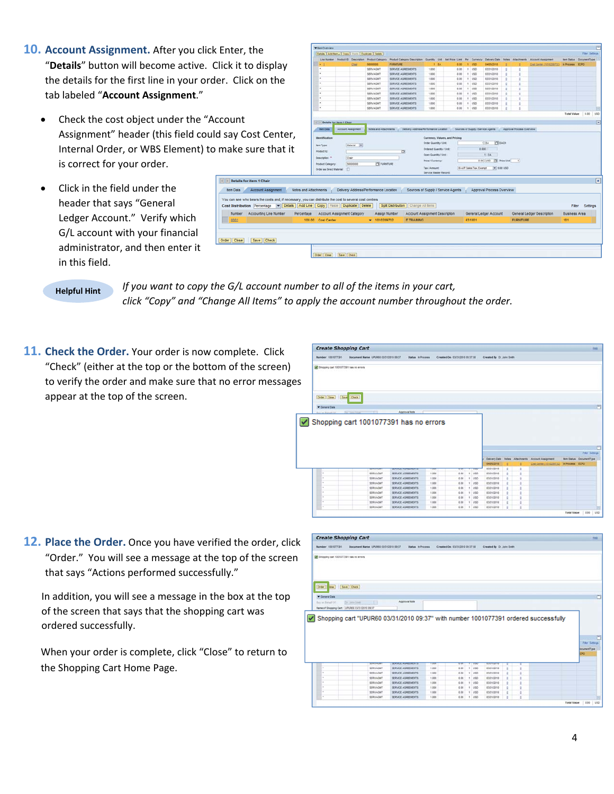- **10. Account Assignment.** After you click Enter, "Details" button will become active. Click it t the details for the first line in your order. Clic tab labeled "**Account Assignment**."
	- Check the cost object under the "Account Assignment" header (this field could say C Internal Order, or WBS Element) to make is correct for your order.

 $\overline{\left\langle \right|}$  > Details tem Data **Cost Distribi** Numbe

Order Close

• Click in the field under the header that says "General Ledger Account." Verify which G/L account with your financial administrator, and then enter it in this field.

|                                                                                                                                                                                                | <b>Viten Overview</b>                                   |                           |                                       |                                                                                                        |                          |                                    |              |                    |                                |                                  |   |                  |                            |                                |               |                |
|------------------------------------------------------------------------------------------------------------------------------------------------------------------------------------------------|---------------------------------------------------------|---------------------------|---------------------------------------|--------------------------------------------------------------------------------------------------------|--------------------------|------------------------------------|--------------|--------------------|--------------------------------|----------------------------------|---|------------------|----------------------------|--------------------------------|---------------|----------------|
| . the                                                                                                                                                                                          | Details   Add tem a   Copy   Faste   Duplicate   Delete |                           |                                       |                                                                                                        |                          |                                    |              |                    |                                |                                  |   |                  |                            |                                | Film Settings |                |
|                                                                                                                                                                                                | Line Number Product El Description Product Category     |                           |                                       | Product Category Deacription Guardity Unit Test Price / Limit Per Currency                             |                          |                                    |              |                    |                                | Delivery Date: Notes Attachments |   |                  | <b>Account Assignment</b>  | <b>Ben Status DocumentType</b> |               |                |
| to display                                                                                                                                                                                     | ٠                                                       | Chat                      | 16000000                              | <b>FURNITURE</b>                                                                                       |                          | $+ 14$                             | $0.00 -$     | 1.050              |                                | 04/05/2010                       |   |                  | Cost Carrier (1010201722   | <b>In Process ECPO</b>         |               |                |
|                                                                                                                                                                                                |                                                         |                           | SERVAGNT                              | SERVICE AGREEMENTS                                                                                     | 1.000<br>1.000           |                                    | 0.00.        | 1.150              |                                | 03/31/2010                       | ٠ |                  |                            |                                |               |                |
|                                                                                                                                                                                                |                                                         |                           | SERVAGM?<br>SERVAGNT                  | SERVICE AGREEMENTS<br>SERVICE AGREEMENTS                                                               | 1,000                    |                                    | 3.03<br>0.00 | 1.055<br>$1$ $150$ |                                | 53/31/2018<br>03/31/2010         |   |                  |                            |                                |               |                |
| ck on the                                                                                                                                                                                      |                                                         |                           | SERVAGNT                              | SERVICE AGREEMENTS                                                                                     | 1,000                    |                                    | 0.00         | 1 1/10             |                                | 03/31/2010                       |   |                  |                            |                                |               |                |
|                                                                                                                                                                                                |                                                         |                           | SERVAGNT                              | SERVICE AGREEMENTS                                                                                     | 1,000                    |                                    | 0.00         | $1 - 1/50$         |                                | 03/31/2010                       |   |                  |                            |                                |               |                |
|                                                                                                                                                                                                |                                                         |                           | <b>SERVAGNT</b>                       | SERVICE AGREEMENTS                                                                                     | 1,000                    |                                    | 0.00         | 1.055              |                                | 03/31/2010                       |   |                  |                            |                                |               |                |
|                                                                                                                                                                                                |                                                         |                           | <b>SERVAGNT</b>                       | SERVICE AGREEMENTS                                                                                     | 1.000                    |                                    | 0.00         | 1 1/30             |                                | 03/31/2010                       |   |                  |                            |                                |               |                |
|                                                                                                                                                                                                |                                                         |                           | SERVAGNT                              | SERVICE AGREEMENTS                                                                                     | 1.000                    |                                    | 0.00         | 1.150              |                                | 03/31/2010                       |   |                  |                            |                                |               |                |
|                                                                                                                                                                                                | ٠                                                       |                           | SERVADNT                              | SERVICE AGREEMENTS                                                                                     | 1,000                    |                                    | 0.00         | 1.050              |                                | 03/31/2010                       |   |                  |                            |                                |               |                |
|                                                                                                                                                                                                |                                                         |                           |                                       |                                                                                                        |                          |                                    |              |                    |                                |                                  |   |                  |                            | Total Value                    | 19.00         | <b>VSD</b>     |
|                                                                                                                                                                                                |                                                         |                           |                                       |                                                                                                        |                          |                                    |              |                    |                                |                                  |   |                  |                            |                                |               |                |
|                                                                                                                                                                                                | 14 19 Details for item 4 Chair                          |                           |                                       |                                                                                                        |                          |                                    |              |                    |                                |                                  |   |                  |                            |                                |               | $\overline{R}$ |
|                                                                                                                                                                                                | <b><i><u>tem Data</u></i></b>                           | <b>Account Assignment</b> | Notes and Attachments                 | Delivery Address/Ferfirmance Location . Sources of Supply / Service Agents . Approval Process Overview |                          |                                    |              |                    |                                |                                  |   |                  |                            |                                |               |                |
| cost Center,                                                                                                                                                                                   |                                                         |                           |                                       |                                                                                                        |                          |                                    |              |                    |                                |                                  |   |                  |                            |                                |               |                |
|                                                                                                                                                                                                | <b>Identification</b>                                   |                           |                                       |                                                                                                        |                          | Currency, Values, and Pricing      |              |                    |                                | <b>ITT</b> EACH                  |   |                  |                            |                                |               |                |
|                                                                                                                                                                                                | <b>Jam Type:</b>                                        | Material W                |                                       |                                                                                                        | Criter Quantity / Unit   |                                    |              |                    |                                | $1$ EA                           |   |                  |                            |                                |               |                |
|                                                                                                                                                                                                |                                                         |                           |                                       |                                                                                                        |                          |                                    |              |                    |                                |                                  |   |                  |                            |                                |               |                |
|                                                                                                                                                                                                | Product D.                                              |                           |                                       |                                                                                                        |                          | <b>Drdaned Quantity / Unit</b>     |              |                    |                                | 1.001                            |   |                  |                            |                                |               |                |
|                                                                                                                                                                                                |                                                         |                           |                                       | o                                                                                                      | Open Quantity / Unit     |                                    |              |                    |                                | 1.84                             |   |                  |                            |                                |               |                |
|                                                                                                                                                                                                | Description: 11                                         | Chair                     |                                       |                                                                                                        | <b>Price / Currency:</b> |                                    |              |                    |                                | 0.00 USD IT Price Use            |   |                  |                            |                                |               |                |
|                                                                                                                                                                                                | <b>Product Category</b>                                 | 56000000                  | <b>PSI FURNITURE</b>                  |                                                                                                        |                          |                                    |              |                    |                                |                                  |   |                  |                            |                                |               |                |
|                                                                                                                                                                                                | Order as Direct Material:                               | n                         |                                       |                                                                                                        | Tax / Amount             |                                    |              |                    | <b>G-AP Sales Tax, Exercit</b> | $= 0.00100$                      |   |                  |                            |                                |               |                |
|                                                                                                                                                                                                |                                                         |                           |                                       |                                                                                                        | Service Wester Record    |                                    |              |                    |                                |                                  |   |                  |                            |                                |               |                |
|                                                                                                                                                                                                |                                                         |                           |                                       |                                                                                                        |                          |                                    |              |                    |                                |                                  |   |                  |                            |                                |               |                |
|                                                                                                                                                                                                |                                                         |                           |                                       |                                                                                                        |                          |                                    |              |                    |                                |                                  |   |                  |                            |                                |               |                |
| <b>Account Assignment</b>                                                                                                                                                                      | Notes and Attachments                                   |                           | Delivery Address/Performance Location |                                                                                                        |                          | Sources of Supply / Service Agents |              |                    |                                | Approval Process Overview        |   |                  |                            |                                |               |                |
|                                                                                                                                                                                                |                                                         |                           |                                       |                                                                                                        |                          |                                    |              |                    |                                |                                  |   |                  |                            |                                |               |                |
|                                                                                                                                                                                                |                                                         |                           |                                       |                                                                                                        |                          |                                    |              |                    |                                |                                  |   |                  |                            |                                |               |                |
|                                                                                                                                                                                                |                                                         |                           |                                       | Spit Distribution   Change All tems                                                                    |                          |                                    |              |                    |                                |                                  |   |                  |                            | Fiter                          | Settings      |                |
| Accounting Line Number<br>Percentage                                                                                                                                                           | Account Assignment Category                             |                           | Assign Number                         | Account Assignment Description                                                                         |                          |                                    |              |                    |                                | General Ledger Account           |   |                  | General Ledger Description | <b>Business Area</b>           |               |                |
| sure that it<br>or item 1 Chair<br>ho bears the costs and, if necessary, you can distribute the cost to several cost centres<br>tion Percentage v Details Add Line Copy Paste Duplicate Delete | 100.00 Cost Center                                      |                           | $- 1010289732$                        | <b>IT TRAINING</b>                                                                                     |                          |                                    |              | 631001             |                                |                                  |   | <b>FURNITURE</b> |                            | 101                            |               | ×              |

## **Helpful Hint**

*If you want to copy the G/L account number to all of the items in your cart, click "Copy" and "Change All Items" to apply the account number throughout the order.*

**11. Check the Order.** Your order is now complete. Click "Check" (either at the top or the bottom of the screen) to verify the order and make sure that no error messages appear at the top of the screen.

| <b>Create Shopping Cart</b>            |                                        |                                          |                          |                                |                           |                           |                     |              |                                      |                                |               |  |
|----------------------------------------|----------------------------------------|------------------------------------------|--------------------------|--------------------------------|---------------------------|---------------------------|---------------------|--------------|--------------------------------------|--------------------------------|---------------|--|
| Namber 1001077391                      | Document Name UPUR60 03/31/2010 09:37  |                                          | Status, in Process.      | Created On 03/31/2010 09:37:58 |                           | Created By Dr. John Smith |                     |              |                                      |                                |               |  |
| Shopping cart 1001077391 has no errors |                                        |                                          |                          |                                |                           |                           |                     |              |                                      |                                |               |  |
| Order Close                            | Seve Check                             |                                          |                          |                                |                           |                           |                     |              |                                      |                                |               |  |
| T General Data<br>for an fished Of     | Dr. John Steel<br>. .                  | Approval Note                            |                          |                                |                           |                           |                     |              |                                      |                                |               |  |
|                                        | Shopping cart 1001077391 has no errors |                                          |                          |                                |                           |                           |                     |              |                                      |                                |               |  |
|                                        |                                        |                                          |                          |                                |                           |                           |                     |              |                                      |                                | Film Settings |  |
|                                        |                                        |                                          |                          |                                |                           | Delivery Date             |                     |              | Notes Altachments Account Assignment | <b>Rem Status DocumentType</b> |               |  |
|                                        |                                        |                                          |                          |                                |                           | 04/05/2018                |                     |              | CAM Center (1910284732)              | In Process ECPO                |               |  |
|                                        | <b>CONTRACTOR</b>                      | <b>CONTINUES IN AN INCHES</b>            | $\overline{\phantom{a}}$ |                                |                           | 03/31/2010                | s                   | 1            |                                      |                                |               |  |
|                                        | SERVAGE/T                              | SERVICE AGREEMENTS                       | 1,000                    | 0.00                           | 1.1000                    | 03/31/2010                | g.                  | ÷            |                                      |                                |               |  |
|                                        | SERVAGNIT                              | SERVICE AGREEMENTS                       | 1.000                    | 0.00                           | 1.1050                    | 03/31/2010                | ×                   | $\mathbf{r}$ |                                      |                                |               |  |
|                                        | SERVAGNT                               | SERVICE ADRESSENTS.                      | 1,000                    | 0.00                           | $x - y = 0$               | <b>EST12018</b>           | t.                  | $\mathbb{R}$ |                                      |                                |               |  |
| ×                                      | <b>SERVAGNT</b>                        | SERVICE AGREEMENTS                       | 1,000                    | 0.00                           | 1.460                     | 03/31/2010                | s                   | ×            |                                      |                                |               |  |
| ٠                                      | <b>SERVAGET</b>                        | SERVICE AGREEMENTS                       | 1,000                    | 0.00                           | 1.100                     | 03/31/2010                | ٠                   | ٠            |                                      |                                |               |  |
|                                        | SERVAGNT                               | SERVICE AGREEMENTS                       | 1,000                    | 0.00                           | 1.1050                    | 03/31/2010                | ٠                   | ÷            |                                      |                                |               |  |
| ٠                                      | <b>SERVAGNT</b><br>SERVAGNT            | SERVICE AGREEMENTS<br>SERVICE AGREEMENTS | 1,000<br>1.000           | 0.00<br>0.00                   | $t$ = $1/50$<br>$1 - 450$ | 03/31/2018<br>03/31/2010  | k<br>$\overline{a}$ | t            |                                      |                                |               |  |

**12. Place the Order.** Once you have verified the order, click "Order." You will see a message at the top of the screen that says "Actions performed successfully."

In addition, you will see a message in the box at the top of the screen that says that the shopping cart was ordered successfully.

When your order is complete, click "Close" to return to the Shopping Cart Home Page.

|                                                 | <b>Create Shopping Cart</b>                                                         |                                          |                |                                |   |                       |                           |                     |                |  |                                            | their |
|-------------------------------------------------|-------------------------------------------------------------------------------------|------------------------------------------|----------------|--------------------------------|---|-----------------------|---------------------------|---------------------|----------------|--|--------------------------------------------|-------|
| Namber 1001077391                               | Document Name UPUR60 03/31/2010 09:37                                               | Status, in Process                       |                | Created On 03/31/2010 09:37:58 |   |                       | Created By Dr. John Smith |                     |                |  |                                            |       |
| Shopping cart 1001077391 has no errors          |                                                                                     |                                          |                |                                |   |                       |                           |                     |                |  |                                            |       |
| Order<br><b>Robe</b>                            | Save Cleck                                                                          |                                          |                |                                |   |                       |                           |                     |                |  |                                            |       |
| <b>W</b> : General Data                         |                                                                                     |                                          |                |                                |   |                       |                           |                     |                |  |                                            |       |
| floor am Bahast Cit.                            | Dr. Jone Seatt<br>m                                                                 | Approvai Note                            |                |                                |   |                       |                           |                     |                |  |                                            |       |
|                                                 |                                                                                     |                                          |                |                                |   |                       |                           |                     |                |  |                                            |       |
| Name of Shopping Cart: (URURED 03/31/2010 09:37 | Shopping cart "UPUR60 03/31/2010 09:37" with number 1001077391 ordered successfully |                                          |                |                                |   |                       |                           |                     |                |  |                                            |       |
|                                                 |                                                                                     |                                          |                |                                |   |                       |                           |                     |                |  | <b>Filar Satirgs</b><br>ocument7ype<br>CRO |       |
|                                                 | <b>SEAN AGAIN</b>                                                                   | <b>CONTRACTOR</b> MARINE                 | <b>LEWIS</b>   | <b>VENT</b>                    |   | <b>STAR</b>           | <b><i>CONTRACTORY</i></b> |                     |                |  |                                            |       |
| ٠                                               | SERVAGET                                                                            | SERVICE AGREEMENTS                       | 1,000          | 6.05                           | ٠ | uso                   | 03/31/2010                | ٠                   |                |  |                                            |       |
| ٠                                               | <b>SERVAGNT</b>                                                                     | SERVICE ADRESSENTS                       | 1,000          | 0.00                           |   | $t$ $1050$            | <b>ESC12018</b>           | ٠                   | ٠              |  |                                            |       |
|                                                 | SERVAGNT                                                                            | SERVICE AGREEMENTS                       | 1,000          | 0.00                           |   | 1. USD                | 03/31/2010                | ×                   | ٠              |  |                                            |       |
| ٠                                               | <b>SERVAGET</b>                                                                     | SERVICE AGREEMENTS                       | 1,000          | 0.00                           |   | 1.1000                | 03/31/2010                | ×                   | ٠              |  |                                            |       |
| ٠                                               | SERVAGNIT                                                                           | SERVICE AGREEMENTS                       | 1,000          | 0.00                           |   | 1.1050                | 03/31/2010                | ٠                   | ٠              |  |                                            |       |
| ٠<br>٠                                          | <b>SERVAGNT</b><br><b>SERVAGNIT</b>                                                 | SERVICE AGREEMENTS<br>SERVICE AGREEMENTS | 1.000<br>1.000 | 0.00<br>0.00                   |   | $t$ uso<br>$1 - 1050$ | 03/31/2018<br>03/31/2010  | ×<br>$\overline{a}$ | $\overline{a}$ |  |                                            |       |